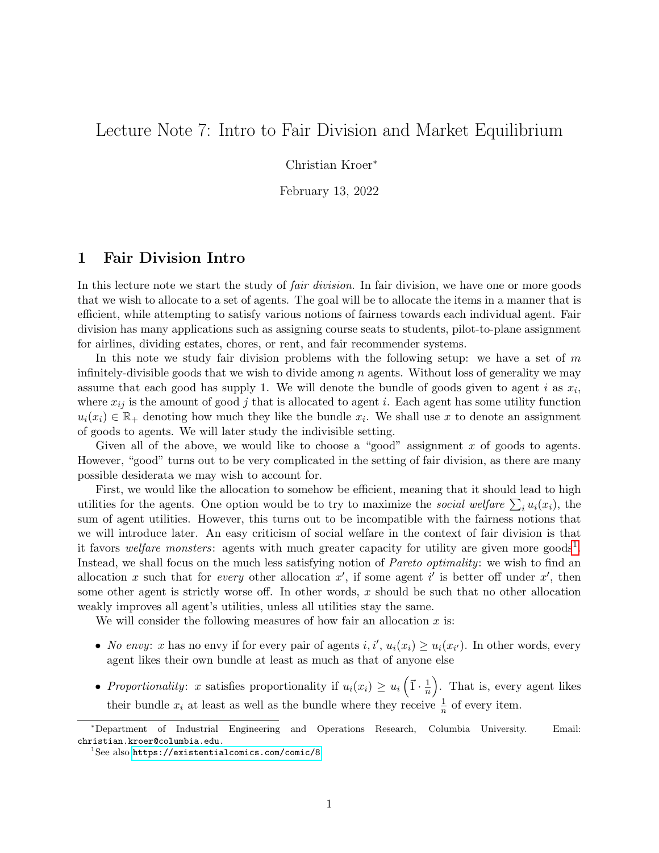# Lecture Note 7: Intro to Fair Division and Market Equilibrium

Christian Kroer<sup>∗</sup>

February 13, 2022

### 1 Fair Division Intro

In this lecture note we start the study of *fair division*. In fair division, we have one or more goods that we wish to allocate to a set of agents. The goal will be to allocate the items in a manner that is efficient, while attempting to satisfy various notions of fairness towards each individual agent. Fair division has many applications such as assigning course seats to students, pilot-to-plane assignment for airlines, dividing estates, chores, or rent, and fair recommender systems.

In this note we study fair division problems with the following setup: we have a set of  $m$ infinitely-divisible goods that we wish to divide among  $n$  agents. Without loss of generality we may assume that each good has supply 1. We will denote the bundle of goods given to agent i as  $x_i$ , where  $x_{ij}$  is the amount of good j that is allocated to agent i. Each agent has some utility function  $u_i(x_i) \in \mathbb{R}_+$  denoting how much they like the bundle  $x_i$ . We shall use x to denote an assignment of goods to agents. We will later study the indivisible setting.

Given all of the above, we would like to choose a "good" assignment  $x$  of goods to agents. However, "good" turns out to be very complicated in the setting of fair division, as there are many possible desiderata we may wish to account for.

First, we would like the allocation to somehow be efficient, meaning that it should lead to high utilities for the agents. One option would be to try to maximize the *social welfare*  $\sum_i u_i(x_i)$ , the sum of agent utilities. However, this turns out to be incompatible with the fairness notions that we will introduce later. An easy criticism of social welfare in the context of fair division is that it favors *welfare monsters*: agents with much greater capacity for utility are given more goods<sup>[1](#page-0-0)</sup>. Instead, we shall focus on the much less satisfying notion of Pareto optimality: we wish to find an allocation x such that for every other allocation  $x'$ , if some agent i' is better off under  $x'$ , then some other agent is strictly worse off. In other words,  $x$  should be such that no other allocation weakly improves all agent's utilities, unless all utilities stay the same.

We will consider the following measures of how fair an allocation  $x$  is:

- No envy: x has no envy if for every pair of agents  $i, i', u_i(x_i) \ge u_i(x_{i'})$ . In other words, every agent likes their own bundle at least as much as that of anyone else
- Proportionality: x satisfies proportionality if  $u_i(x_i) \geq u_i \left( \vec{1} \cdot \frac{1}{n} \right)$  $(\frac{1}{n})$ . That is, every agent likes their bundle  $x_i$  at least as well as the bundle where they receive  $\frac{1}{n}$  of every item.

<sup>∗</sup>Department of Industrial Engineering and Operations Research, Columbia University. Email: christian.kroer@columbia.edu.

<span id="page-0-0"></span><sup>1</sup>See also <https://existentialcomics.com/comic/8>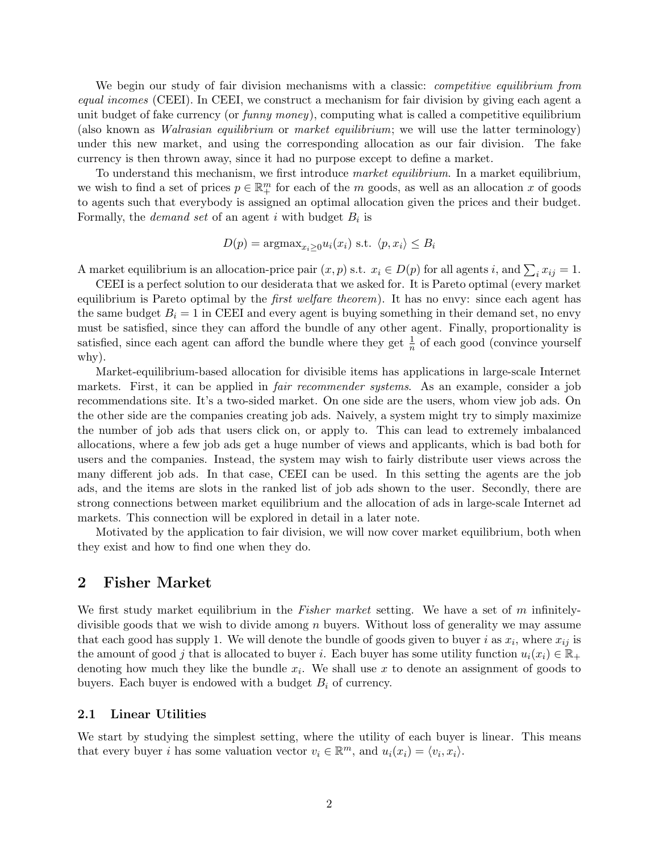We begin our study of fair division mechanisms with a classic: *competitive equilibrium from* equal incomes (CEEI). In CEEI, we construct a mechanism for fair division by giving each agent a unit budget of fake currency (or  $funny money$ ), computing what is called a competitive equilibrium (also known as Walrasian equilibrium or market equilibrium; we will use the latter terminology) under this new market, and using the corresponding allocation as our fair division. The fake currency is then thrown away, since it had no purpose except to define a market.

To understand this mechanism, we first introduce market equilibrium. In a market equilibrium, we wish to find a set of prices  $p \in \mathbb{R}^m_+$  for each of the m goods, as well as an allocation x of goods to agents such that everybody is assigned an optimal allocation given the prices and their budget. Formally, the *demand set* of an agent i with budget  $B_i$  is

$$
D(p) = \operatorname{argmax}_{x_i \ge 0} u_i(x_i) \text{ s.t. } \langle p, x_i \rangle \le B_i
$$

A market equilibrium is an allocation-price pair  $(x, p)$  s.t.  $x_i \in D(p)$  for all agents i, and  $\sum_i x_{ij} = 1$ .

CEEI is a perfect solution to our desiderata that we asked for. It is Pareto optimal (every market equilibrium is Pareto optimal by the *first welfare theorem*). It has no envy: since each agent has the same budget  $B_i = 1$  in CEEI and every agent is buying something in their demand set, no envy must be satisfied, since they can afford the bundle of any other agent. Finally, proportionality is satisfied, since each agent can afford the bundle where they get  $\frac{1}{n}$  of each good (convince yourself why).

Market-equilibrium-based allocation for divisible items has applications in large-scale Internet markets. First, it can be applied in *fair recommender systems*. As an example, consider a job recommendations site. It's a two-sided market. On one side are the users, whom view job ads. On the other side are the companies creating job ads. Naively, a system might try to simply maximize the number of job ads that users click on, or apply to. This can lead to extremely imbalanced allocations, where a few job ads get a huge number of views and applicants, which is bad both for users and the companies. Instead, the system may wish to fairly distribute user views across the many different job ads. In that case, CEEI can be used. In this setting the agents are the job ads, and the items are slots in the ranked list of job ads shown to the user. Secondly, there are strong connections between market equilibrium and the allocation of ads in large-scale Internet ad markets. This connection will be explored in detail in a later note.

Motivated by the application to fair division, we will now cover market equilibrium, both when they exist and how to find one when they do.

### 2 Fisher Market

We first study market equilibrium in the Fisher market setting. We have a set of m infinitelydivisible goods that we wish to divide among  $n$  buyers. Without loss of generality we may assume that each good has supply 1. We will denote the bundle of goods given to buyer i as  $x_i$ , where  $x_{ij}$  is the amount of good j that is allocated to buyer i. Each buyer has some utility function  $u_i(x_i) \in \mathbb{R}_+$ denoting how much they like the bundle  $x_i$ . We shall use x to denote an assignment of goods to buyers. Each buyer is endowed with a budget  $B_i$  of currency.

#### 2.1 Linear Utilities

We start by studying the simplest setting, where the utility of each buyer is linear. This means that every buyer *i* has some valuation vector  $v_i \in \mathbb{R}^m$ , and  $u_i(x_i) = \langle v_i, x_i \rangle$ .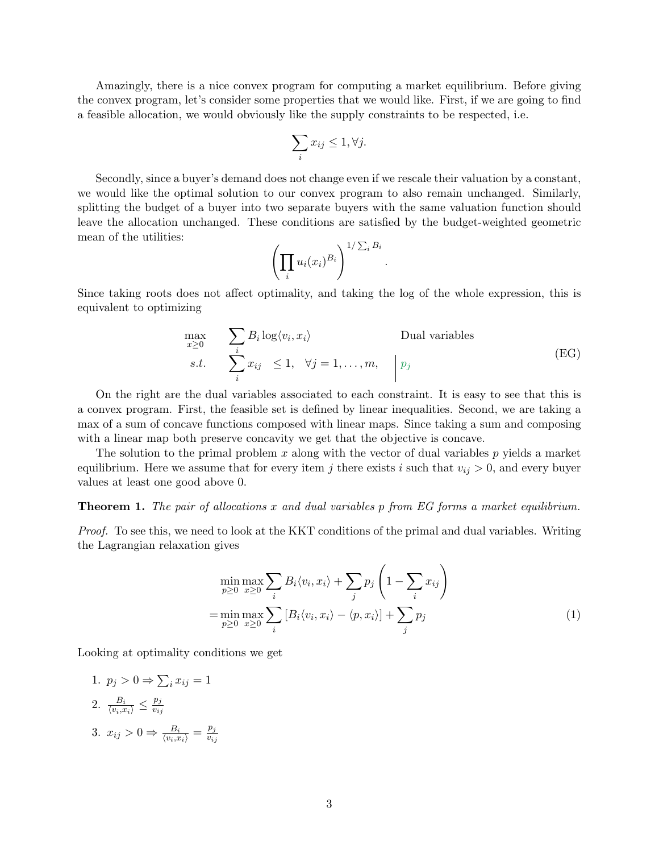Amazingly, there is a nice convex program for computing a market equilibrium. Before giving the convex program, let's consider some properties that we would like. First, if we are going to find a feasible allocation, we would obviously like the supply constraints to be respected, i.e.

$$
\sum_i x_{ij} \le 1, \forall j.
$$

Secondly, since a buyer's demand does not change even if we rescale their valuation by a constant, we would like the optimal solution to our convex program to also remain unchanged. Similarly, splitting the budget of a buyer into two separate buyers with the same valuation function should leave the allocation unchanged. These conditions are satisfied by the budget-weighted geometric mean of the utilities:

$$
\left(\prod_i u_i(x_i)^{B_i}\right)^{1/\sum_i B_i}
$$

<span id="page-2-0"></span>Since taking roots does not affect optimality, and taking the log of the whole expression, this is equivalent to optimizing

$$
\max_{x \ge 0} \sum_{i} B_i \log \langle v_i, x_i \rangle
$$
 Dual variables  
s.t. 
$$
\sum_{i}^{i} x_{ij} \le 1, \quad \forall j = 1, ..., m, \quad \boxed{p_j}
$$
 (EG)

.

On the right are the dual variables associated to each constraint. It is easy to see that this is a convex program. First, the feasible set is defined by linear inequalities. Second, we are taking a max of a sum of concave functions composed with linear maps. Since taking a sum and composing with a linear map both preserve concavity we get that the objective is concave.

The solution to the primal problem x along with the vector of dual variables  $p$  yields a market equilibrium. Here we assume that for every item j there exists i such that  $v_{ij} > 0$ , and every buyer values at least one good above 0.

#### **Theorem 1.** The pair of allocations x and dual variables p from EG forms a market equilibrium.

Proof. To see this, we need to look at the KKT conditions of the primal and dual variables. Writing the Lagrangian relaxation gives

$$
\min_{p\geq 0} \max_{x\geq 0} \sum_{i} B_i \langle v_i, x_i \rangle + \sum_j p_j \left( 1 - \sum_i x_{ij} \right)
$$
\n
$$
= \min_{p\geq 0} \max_{x\geq 0} \sum_i \left[ B_i \langle v_i, x_i \rangle - \langle p, x_i \rangle \right] + \sum_j p_j \tag{1}
$$

Looking at optimality conditions we get

1.  $p_j > 0 \Rightarrow \sum_i x_{ij} = 1$ 2.  $\frac{B_i}{\langle v_i, x_i \rangle} \leq \frac{p_j}{v_{ij}}$  $\overline{v_{ij}}$ 3.  $x_{ij} > 0 \Rightarrow \frac{B_i}{\langle v_i, x_i \rangle} = \frac{p_j}{v_{ij}}$  $\overline{v_{ij}}$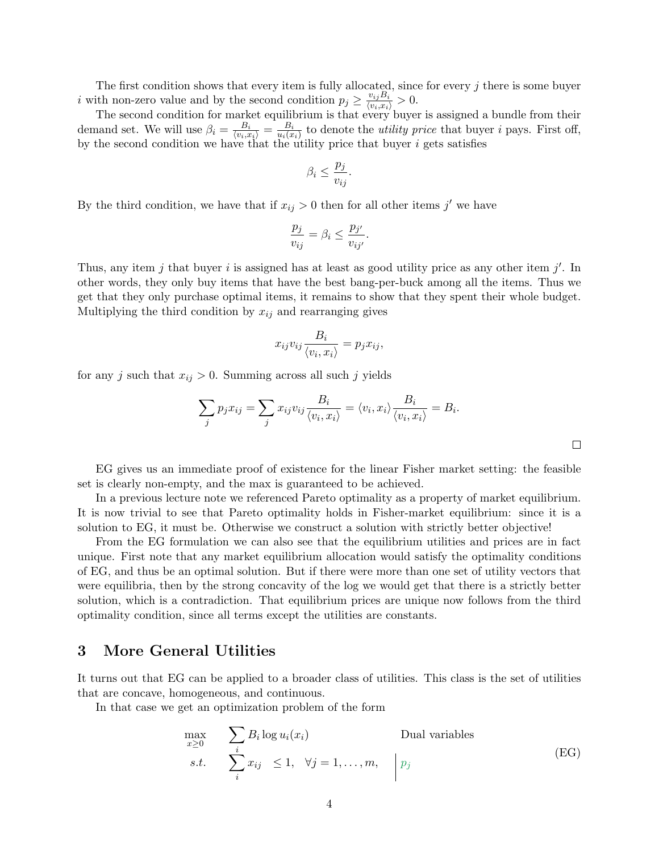The first condition shows that every item is fully allocated, since for every j there is some buyer i with non-zero value and by the second condition  $p_j \geq \frac{v_{ij}B_i}{\langle v_i,x_i \rangle} > 0$ .

The second condition for market equilibrium is that every buyer is assigned a bundle from their demand set. We will use  $\beta_i = \frac{B_i}{\langle v_i, x_i \rangle} = \frac{B_i}{u_i(x)}$  $\frac{B_i}{u_i(x_i)}$  to denote the *utility price* that buyer *i* pays. First off, by the second condition we have that the utility price that buyer  $i$  gets satisfies

$$
\beta_i \le \frac{p_j}{v_{ij}}.
$$

By the third condition, we have that if  $x_{ij} > 0$  then for all other items j' we have

$$
\frac{p_j}{v_{ij}} = \beta_i \le \frac{p_{j'}}{v_{ij'}}.
$$

Thus, any item  $j$  that buyer  $i$  is assigned has at least as good utility price as any other item  $j'$ . In other words, they only buy items that have the best bang-per-buck among all the items. Thus we get that they only purchase optimal items, it remains to show that they spent their whole budget. Multiplying the third condition by  $x_{ij}$  and rearranging gives

$$
x_{ij}v_{ij}\frac{B_i}{\langle v_i, x_i \rangle} = p_j x_{ij},
$$

for any j such that  $x_{ij} > 0$ . Summing across all such j yields

$$
\sum_{j} p_j x_{ij} = \sum_{j} x_{ij} v_{ij} \frac{B_i}{\langle v_i, x_i \rangle} = \langle v_i, x_i \rangle \frac{B_i}{\langle v_i, x_i \rangle} = B_i.
$$

EG gives us an immediate proof of existence for the linear Fisher market setting: the feasible set is clearly non-empty, and the max is guaranteed to be achieved.

In a previous lecture note we referenced Pareto optimality as a property of market equilibrium. It is now trivial to see that Pareto optimality holds in Fisher-market equilibrium: since it is a solution to EG, it must be. Otherwise we construct a solution with strictly better objective!

From the EG formulation we can also see that the equilibrium utilities and prices are in fact unique. First note that any market equilibrium allocation would satisfy the optimality conditions of EG, and thus be an optimal solution. But if there were more than one set of utility vectors that were equilibria, then by the strong concavity of the log we would get that there is a strictly better solution, which is a contradiction. That equilibrium prices are unique now follows from the third optimality condition, since all terms except the utilities are constants.

### 3 More General Utilities

It turns out that EG can be applied to a broader class of utilities. This class is the set of utilities that are concave, homogeneous, and continuous.

In that case we get an optimization problem of the form

$$
\max_{x \ge 0} \sum_{i} B_i \log u_i(x_i) \qquad \text{Dual variables}
$$
\n
$$
s.t. \sum_{i} x_{ij} \le 1, \quad \forall j = 1, ..., m, \quad \bigg| p_j \qquad (EG)
$$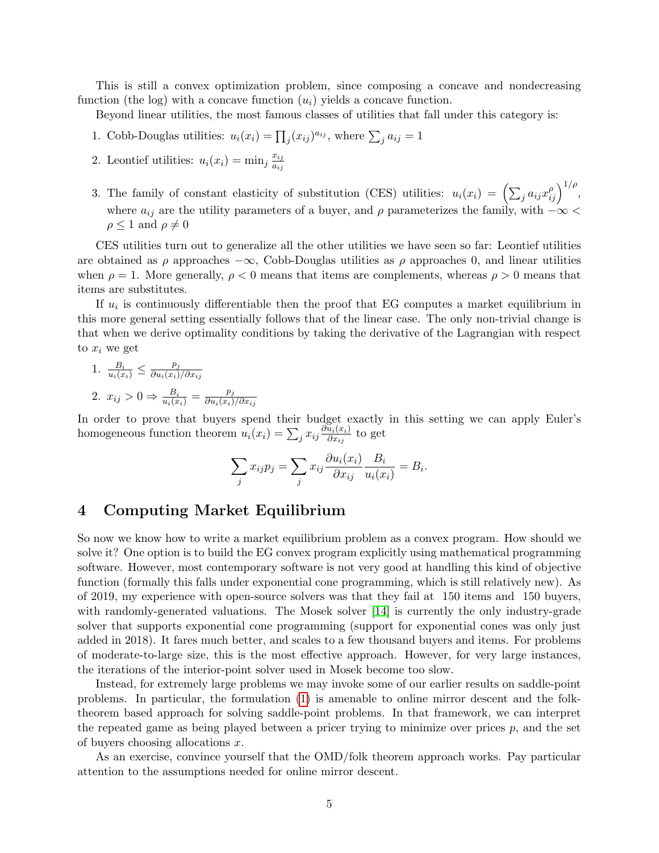This is still a convex optimization problem, since composing a concave and nondecreasing function (the log) with a concave function  $(u_i)$  yields a concave function.

Beyond linear utilities, the most famous classes of utilities that fall under this category is:

- 1. Cobb-Douglas utilities:  $u_i(x_i) = \prod_j (x_{ij})^{a_{ij}}$ , where  $\sum_j a_{ij} = 1$
- 2. Leontief utilities:  $u_i(x_i) = \min_j \frac{x_{ij}}{dx_i}$ aij
- 3. The family of constant elasticity of substitution (CES) utilities:  $u_i(x_i) = (\sum_j a_{ij} x_{ij}^\rho)^{1/\rho}$ , where  $a_{ij}$  are the utility parameters of a buyer, and  $\rho$  parameterizes the family, with  $-\infty$  <  $\rho \leq 1$  and  $\rho \neq 0$

CES utilities turn out to generalize all the other utilities we have seen so far: Leontief utilities are obtained as  $\rho$  approaches  $-\infty$ , Cobb-Douglas utilities as  $\rho$  approaches 0, and linear utilities when  $\rho = 1$ . More generally,  $\rho < 0$  means that items are complements, whereas  $\rho > 0$  means that items are substitutes.

If  $u_i$  is continuously differentiable then the proof that EG computes a market equilibrium in this more general setting essentially follows that of the linear case. The only non-trivial change is that when we derive optimality conditions by taking the derivative of the Lagrangian with respect to  $x_i$  we get

1. 
$$
\frac{B_i}{u_i(x_i)} \le \frac{p_j}{\partial u_i(x_i)/\partial x_{ij}}
$$
  
2. 
$$
x_{ij} > 0 \Rightarrow \frac{B_i}{u_i(x_i)} = \frac{p_j}{\partial u_i(x_i)/\partial x_{ij}}
$$

In order to prove that buyers spend their budget exactly in this setting we can apply Euler's homogeneous function theorem  $u_i(x_i) = \sum_j x_{ij} \frac{\partial \tilde{u}_i(x_i)}{\partial x_{ij}}$  $\frac{u_i(x_i)}{\partial x_{ij}}$  to get

$$
\sum_{j} x_{ij} p_j = \sum_{j} x_{ij} \frac{\partial u_i(x_i)}{\partial x_{ij}} \frac{B_i}{u_i(x_i)} = B_i.
$$

## 4 Computing Market Equilibrium

So now we know how to write a market equilibrium problem as a convex program. How should we solve it? One option is to build the EG convex program explicitly using mathematical programming software. However, most contemporary software is not very good at handling this kind of objective function (formally this falls under exponential cone programming, which is still relatively new). As of 2019, my experience with open-source solvers was that they fail at 150 items and 150 buyers, with randomly-generated valuations. The Mosek solver [\[14\]](#page-6-0) is currently the only industry-grade solver that supports exponential cone programming (support for exponential cones was only just added in 2018). It fares much better, and scales to a few thousand buyers and items. For problems of moderate-to-large size, this is the most effective approach. However, for very large instances, the iterations of the interior-point solver used in Mosek become too slow.

Instead, for extremely large problems we may invoke some of our earlier results on saddle-point problems. In particular, the formulation [\(1\)](#page-2-0) is amenable to online mirror descent and the folktheorem based approach for solving saddle-point problems. In that framework, we can interpret the repeated game as being played between a pricer trying to minimize over prices  $p$ , and the set of buyers choosing allocations x.

As an exercise, convince yourself that the OMD/folk theorem approach works. Pay particular attention to the assumptions needed for online mirror descent.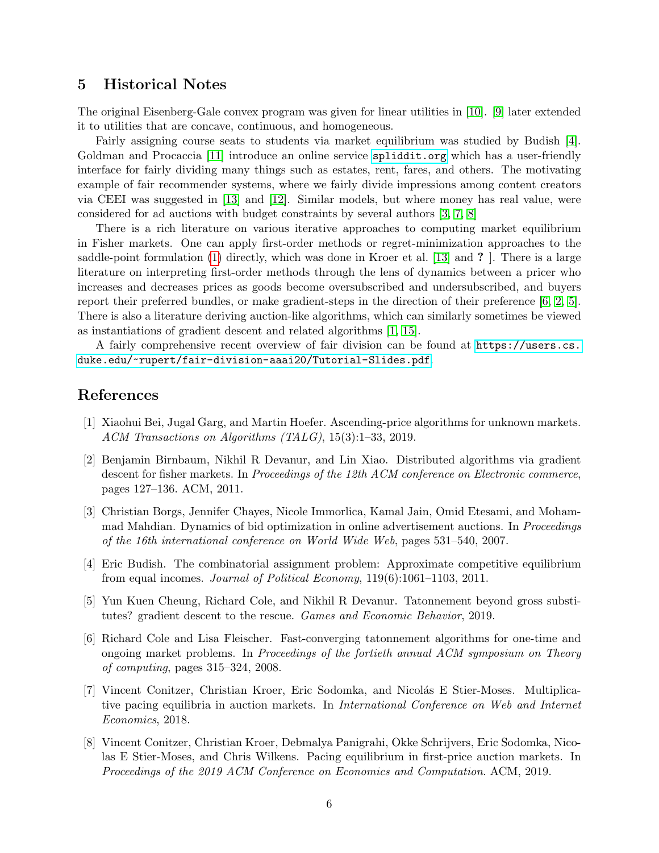### 5 Historical Notes

The original Eisenberg-Gale convex program was given for linear utilities in [\[10\]](#page-6-1). [\[9\]](#page-6-2) later extended it to utilities that are concave, continuous, and homogeneous.

Fairly assigning course seats to students via market equilibrium was studied by Budish [\[4\]](#page-5-0). Goldman and Procaccia [\[11\]](#page-6-3) introduce an online service <spliddit.org> which has a user-friendly interface for fairly dividing many things such as estates, rent, fares, and others. The motivating example of fair recommender systems, where we fairly divide impressions among content creators via CEEI was suggested in [\[13\]](#page-6-4) and [\[12\]](#page-6-5). Similar models, but where money has real value, were considered for ad auctions with budget constraints by several authors [\[3,](#page-5-1) [7,](#page-5-2) [8\]](#page-5-3)

There is a rich literature on various iterative approaches to computing market equilibrium in Fisher markets. One can apply first-order methods or regret-minimization approaches to the saddle-point formulation [\(1\)](#page-2-0) directly, which was done in Kroer et al. [\[13\]](#page-6-4) and ? ]. There is a large literature on interpreting first-order methods through the lens of dynamics between a pricer who increases and decreases prices as goods become oversubscribed and undersubscribed, and buyers report their preferred bundles, or make gradient-steps in the direction of their preference [\[6,](#page-5-4) [2,](#page-5-5) [5\]](#page-5-6). There is also a literature deriving auction-like algorithms, which can similarly sometimes be viewed as instantiations of gradient descent and related algorithms [\[1,](#page-5-7) [15\]](#page-6-6).

A fairly comprehensive recent overview of fair division can be found at [https://users.cs.](https://users.cs.duke.edu/~rupert/fair-division-aaai20/Tutorial-Slides.pdf) [duke.edu/~rupert/fair-division-aaai20/Tutorial-Slides.pdf](https://users.cs.duke.edu/~rupert/fair-division-aaai20/Tutorial-Slides.pdf).

# References

- <span id="page-5-7"></span>[1] Xiaohui Bei, Jugal Garg, and Martin Hoefer. Ascending-price algorithms for unknown markets. ACM Transactions on Algorithms (TALG), 15(3):1–33, 2019.
- <span id="page-5-5"></span>[2] Benjamin Birnbaum, Nikhil R Devanur, and Lin Xiao. Distributed algorithms via gradient descent for fisher markets. In *Proceedings of the 12th ACM conference on Electronic commerce*. pages 127–136. ACM, 2011.
- <span id="page-5-1"></span>[3] Christian Borgs, Jennifer Chayes, Nicole Immorlica, Kamal Jain, Omid Etesami, and Mohammad Mahdian. Dynamics of bid optimization in online advertisement auctions. In Proceedings of the 16th international conference on World Wide Web, pages 531–540, 2007.
- <span id="page-5-0"></span>[4] Eric Budish. The combinatorial assignment problem: Approximate competitive equilibrium from equal incomes. Journal of Political Economy, 119(6):1061–1103, 2011.
- <span id="page-5-6"></span>[5] Yun Kuen Cheung, Richard Cole, and Nikhil R Devanur. Tatonnement beyond gross substitutes? gradient descent to the rescue. Games and Economic Behavior, 2019.
- <span id="page-5-4"></span>[6] Richard Cole and Lisa Fleischer. Fast-converging tatonnement algorithms for one-time and ongoing market problems. In Proceedings of the fortieth annual ACM symposium on Theory of computing, pages 315–324, 2008.
- <span id="page-5-2"></span>[7] Vincent Conitzer, Christian Kroer, Eric Sodomka, and Nicolás E Stier-Moses. Multiplicative pacing equilibria in auction markets. In International Conference on Web and Internet Economics, 2018.
- <span id="page-5-3"></span>[8] Vincent Conitzer, Christian Kroer, Debmalya Panigrahi, Okke Schrijvers, Eric Sodomka, Nicolas E Stier-Moses, and Chris Wilkens. Pacing equilibrium in first-price auction markets. In Proceedings of the 2019 ACM Conference on Economics and Computation. ACM, 2019.